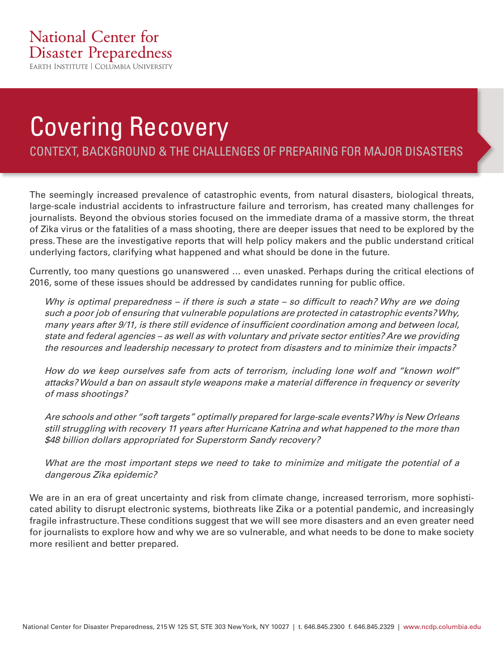EARTH INSTITUTE | COLUMBIA UNIVERSITY

## Covering Recovery

CONTEXT, BACKGROUND & THE CHALLENGES OF PREPARING FOR MAJOR DISASTERS

The seemingly increased prevalence of catastrophic events, from natural disasters, biological threats, large-scale industrial accidents to infrastructure failure and terrorism, has created many challenges for journalists. Beyond the obvious stories focused on the immediate drama of a massive storm, the threat of Zika virus or the fatalities of a mass shooting, there are deeper issues that need to be explored by the press. These are the investigative reports that will help policy makers and the public understand critical underlying factors, clarifying what happened and what should be done in the future.

Currently, too many questions go unanswered … even unasked. Perhaps during the critical elections of 2016, some of these issues should be addressed by candidates running for public office.

Why is optimal preparedness – if there is such a state – so difficult to reach? Why are we doing such a poor job of ensuring that vulnerable populations are protected in catastrophic events? Why, many years after 9/11, is there still evidence of insufficient coordination among and between local, state and federal agencies – as well as with voluntary and private sector entities? Are we providing the resources and leadership necessary to protect from disasters and to minimize their impacts?

How do we keep ourselves safe from acts of terrorism, including lone wolf and "known wolf" attacks? Would a ban on assault style weapons make a material difference in frequency or severity of mass shootings?

Are schools and other "soft targets" optimally prepared for large-scale events? Why is New Orleans still struggling with recovery 11 years after Hurricane Katrina and what happened to the more than \$48 billion dollars appropriated for Superstorm Sandy recovery?

What are the most important steps we need to take to minimize and mitigate the potential of a dangerous Zika epidemic?

We are in an era of great uncertainty and risk from climate change, increased terrorism, more sophisticated ability to disrupt electronic systems, biothreats like Zika or a potential pandemic, and increasingly fragile infrastructure. These conditions suggest that we will see more disasters and an even greater need for journalists to explore how and why we are so vulnerable, and what needs to be done to make society more resilient and better prepared.